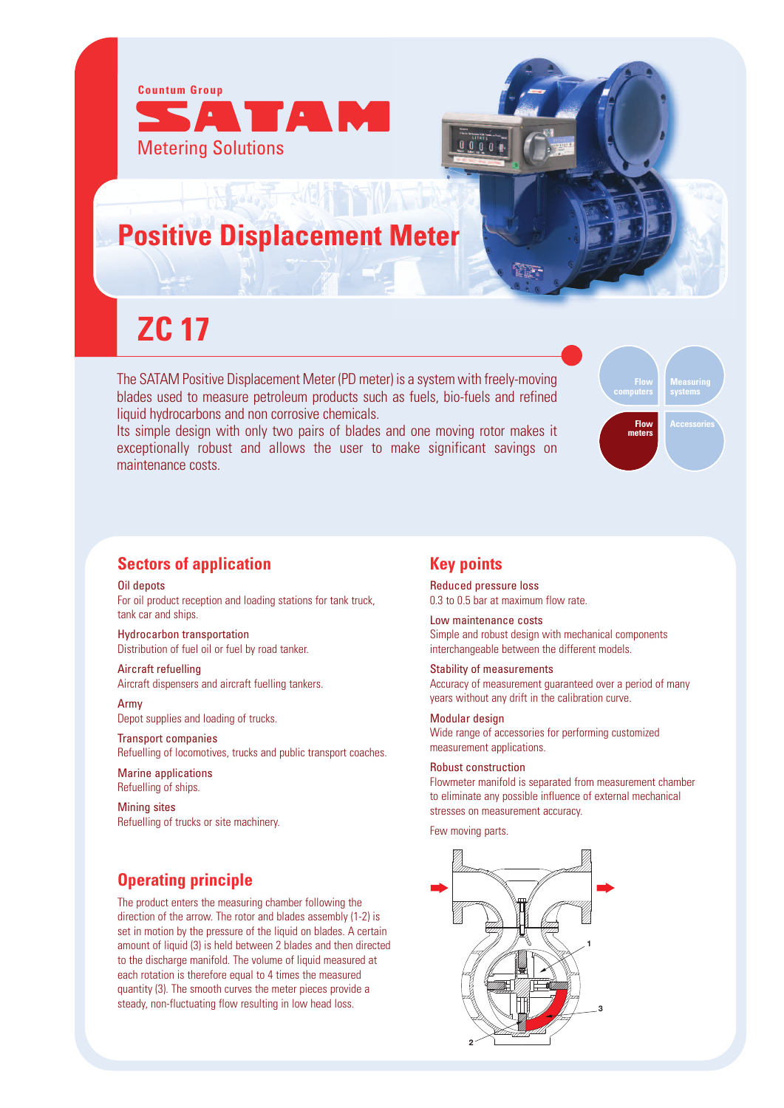

## **Positive Displacement Meter**

# **ZC 17**

The SATAM Positive Displacement Meter (PD meter) is a system with freely-moving blades used to measure petroleum products such as fuels, bio-fuels and refined liquid hydrocarbons and non corrosive chemicals.

Its simple design with only two pairs of blades and one moving rotor makes it exceptionally robust and allows the user to make significant savings on maintenance costs.



#### **Sectors of application**

Oil depots For oil product reception and loading stations for tank truck, tank car and ships.

Hydrocarbon transportation Distribution of fuel oil or fuel by road tanker.

Aircraft refuelling Aircraft dispensers and aircraft fuelling tankers.

Army Depot supplies and loading of trucks.

Transport companies Refuelling of locomotives, trucks and public transport coaches.

Marine applications Refuelling of ships.

Mining sites Refuelling of trucks or site machinery.

### **Operating principle**

The product enters the measuring chamber following the direction of the arrow. The rotor and blades assembly (1-2) is set in motion by the pressure of the liquid on blades. A certain amount of liquid (3) is held between 2 blades and then directed to the discharge manifold. The volume of liquid measured at each rotation is therefore equal to 4 times the measured quantity (3). The smooth curves the meter pieces provide a steady, non-fluctuating flow resulting in low head loss.

#### **Key points**

Reduced pressure loss 0.3 to 0.5 bar at maximum flow rate.

Low maintenance costs Simple and robust design with mechanical components interchangeable between the different models.

Stability of measurements Accuracy of measurement guaranteed over a period of many years without any drift in the calibration curve.

Modular design Wide range of accessories for performing customized measurement applications.

#### Robust construction

Flowmeter manifold is separated from measurement chamber to eliminate any possible influence of external mechanical stresses on measurement accuracy.

Few moving parts.